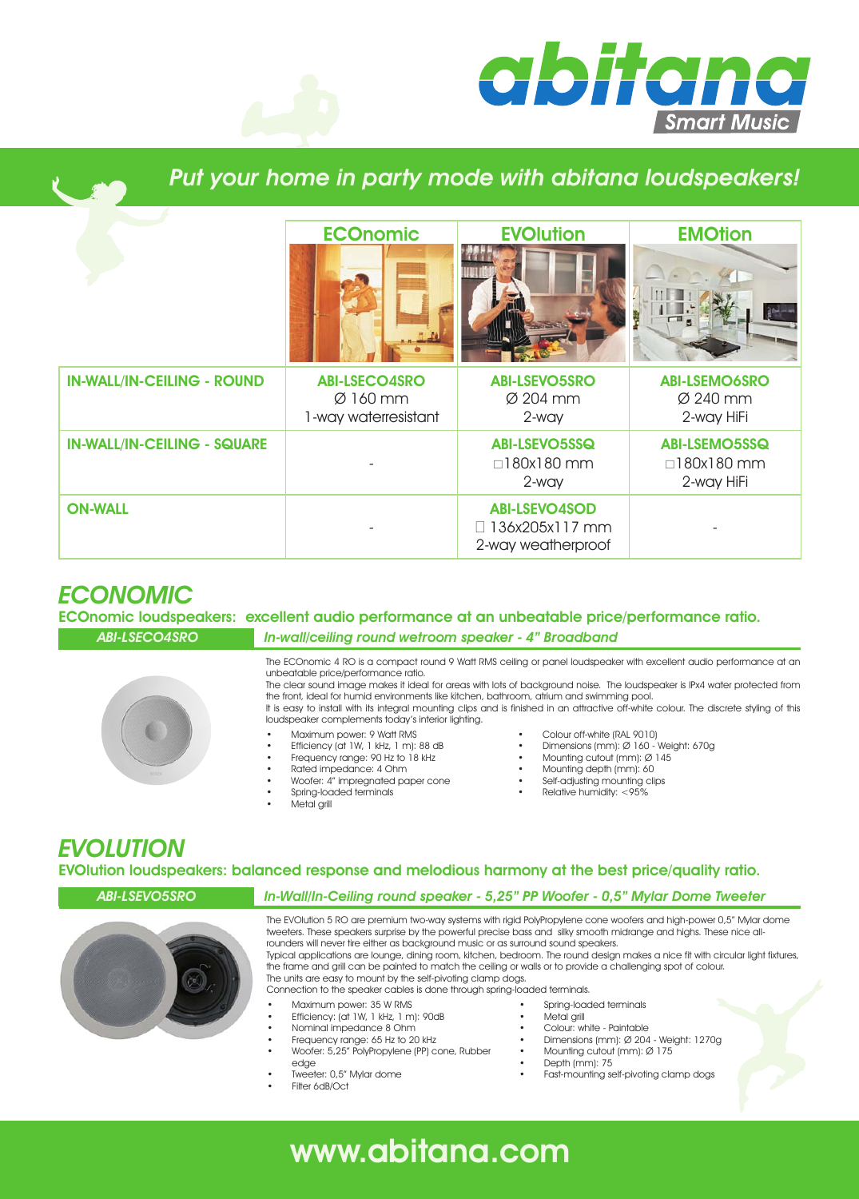

# Put your home in party mode with abitana loudspeakers!

|                                    | <b>ECOnomic</b>                                          | <b>EVOlution</b>                                                    | <b>EMOtion</b>                                    |
|------------------------------------|----------------------------------------------------------|---------------------------------------------------------------------|---------------------------------------------------|
| <b>IN-WALL/IN-CEILING - ROUND</b>  | <b>ABI-LSECO4SRO</b><br>Ø 160 mm<br>1-way waterresistant | <b>ABI-LSEVO5SRO</b><br>$\varnothing$ 204 mm<br>2-way               | <b>ABI-LSEMO6SRO</b><br>Ø 240 mm<br>2-way HiFi    |
| <b>IN-WALL/IN-CEILING - SQUARE</b> |                                                          | <b>ABI-LSEVO5SSQ</b><br>$\Box$ 180x180 mm<br>2-way                  | <b>ABI-LSEMO5SSQ</b><br>□180x180 mm<br>2-way HiFi |
| <b>ON-WALL</b>                     |                                                          | <b>ABI-LSEVO4SOD</b><br>$\Box$ 136x205x117 mm<br>2-way weatherproof |                                                   |

## **ECONOMIC**

ECOnomic loudspeakers: excellent audio performance at an unbeatable price/performance ratio.

| <b>ABI-LSECO4SRO</b>   | In-wall/ceiling round wetroom speaker - 4" Broadband<br>The ECOnomic 4 RO is a compact round 9 Watt RMS ceiling or panel loudspeaker with excellent audio performance at an<br>unbeatable price/performance ratio.<br>The clear sound image makes it ideal for areas with lots of background noise. The loudspeaker is IPx4 water protected from<br>the front, ideal for humid environments like kitchen, bathroom, atrium and swimming pool.<br>It is easy to install with its integral mounting clips and is finished in an attractive off-white colour. The discrete styling of this<br>loudspeaker complements today's interior lighting. |                                                                                                                                                                                            |  |
|------------------------|-----------------------------------------------------------------------------------------------------------------------------------------------------------------------------------------------------------------------------------------------------------------------------------------------------------------------------------------------------------------------------------------------------------------------------------------------------------------------------------------------------------------------------------------------------------------------------------------------------------------------------------------------|--------------------------------------------------------------------------------------------------------------------------------------------------------------------------------------------|--|
| $\bullet$<br>$\bullet$ |                                                                                                                                                                                                                                                                                                                                                                                                                                                                                                                                                                                                                                               |                                                                                                                                                                                            |  |
|                        | Maximum power: 9 Watt RMS<br>Efficiency (at 1W, 1 kHz, 1 m): 88 dB<br>Frequency range: 90 Hz to 18 kHz<br>Rated impedance: 4 Ohm<br>Woofer: 4" impregnated paper cone<br>Spring-loaded terminals<br>Metal grill                                                                                                                                                                                                                                                                                                                                                                                                                               | Colour off-white (RAL 9010)<br>Dimensions (mm): Ø 160 - Weight: 670g<br>Mounting cutout (mm): Ø 145<br>Mounting depth (mm): 60<br>Self-adjusting mounting clips<br>Relative humidity: <95% |  |

# **EVOLUTION**

## EVOlution loudspeakers: balanced response and melodious harmony at the best price/quality ratio.

| <b>ABI-LSEVO5SRO</b> | In-Wall/In-Ceiling round speaker - 5,25" PP Woofer - 0,5" Mylar Dome Tweeter                                                                                                                                                               |
|----------------------|--------------------------------------------------------------------------------------------------------------------------------------------------------------------------------------------------------------------------------------------|
|                      | The EVOlution 5 RO are premium two-way systems with rigid PolyPropylene cone woofers and high-power 0,5" Mylar dome<br>tweeters. These speakers surprise by the powerful precise bass and silky smooth midrange and highs. These nice all- |



tweeters. These speakers surprise by the powerful precise bass and silky smooth midrange and highs. These nice allrounders will never tire either as background music or as surround sound speakers. Typical applications are lounge, dining room, kitchen, bedroom. The round design makes a nice fit with circular light fixtures, the frame and grill can be painted to match the ceiling or walls or to provide a challenging spot of colour. The units are easy to mount by the self-pivoting clamp dogs. Connection to the speaker cables is done through spring-loaded terminals.

- Maximum power: 35 W RMS
- Efficiency: (at 1W, 1 kHz, 1 m): 90dB
- • Nominal impedance 8 Ohm
- Frequency range: 65 Hz to 20 kHz
- Woofer: 5,25" PolyPropylene (PP) cone, Rubber edge
- Tweeter: 0,5" Mylar dome
- Filter 6dB/Oct
- www.abitana.com
- • Spring-loaded terminals
- Metal grill
- Colour: white Paintable
- Dimensions (mm): Ø 204 Weight: 1270g • Mounting cutout (mm): Ø 175<br>• Depth (mm): 75
- Depth (mm): 75
	- Fast-mounting self-pivoting clamp dogs